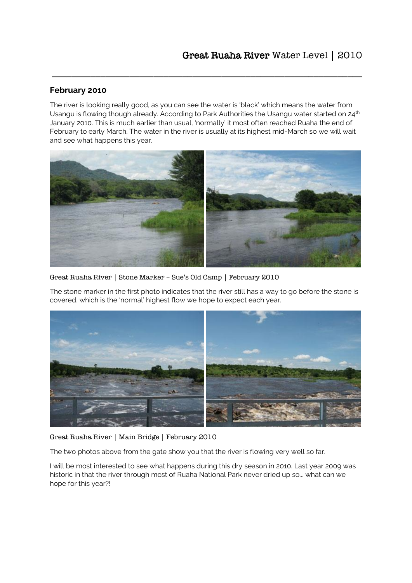### **February 2010**

The river is looking really good, as you can see the water is 'black' which means the water from Usangu is flowing though already. According to Park Authorities the Usangu water started on 24<sup>th</sup> January 2010. This is much earlier than usual, 'normally' it most often reached Ruaha the end of February to early March. The water in the river is usually at its highest mid-March so we will wait and see what happens this year.

\_\_\_\_\_\_\_\_\_\_\_\_\_\_\_\_\_\_\_\_\_\_\_\_\_\_\_\_\_\_\_\_\_\_\_\_\_\_\_\_\_\_\_\_\_\_\_\_\_\_\_\_\_\_\_\_\_\_\_\_\_\_\_\_



Great Ruaha River | Stone Marker – Sue's Old Camp | February 2010

The stone marker in the first photo indicates that the river still has a way to go before the stone is covered, which is the 'normal' highest flow we hope to expect each year.



Great Ruaha River | Main Bridge | February 2010

The two photos above from the gate show you that the river is flowing very well so far.

I will be most interested to see what happens during this dry season in 2010. Last year 2009 was historic in that the river through most of Ruaha National Park never dried up so... what can we hope for this year?!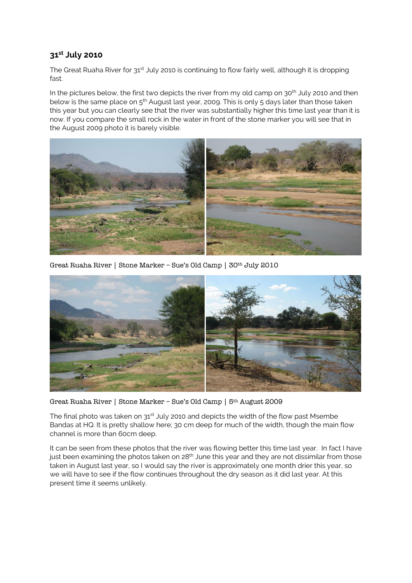# **31st July 2010**

The Great Ruaha River for  $31^{st}$  July 2010 is continuing to flow fairly well, although it is dropping fast.

In the pictures below, the first two depicts the river from my old camp on  $30<sup>th</sup>$  July 2010 and then below is the same place on 5<sup>th</sup> August last year, 2009. This is only 5 days later than those taken this year but you can clearly see that the river was substantially higher this time last year than it is now. If you compare the small rock in the water in front of the stone marker you will see that in the August 2009 photo it is barely visible.



Great Ruaha River | Stone Marker – Sue's Old Camp | 30th July 2010



Great Ruaha River | Stone Marker – Sue's Old Camp | 5th August 2009

The final photo was taken on  $31<sup>st</sup>$  July 2010 and depicts the width of the flow past Msembe Bandas at HQ. It is pretty shallow here; 30 cm deep for much of the width, though the main flow channel is more than 60cm deep.

It can be seen from these photos that the river was flowing better this time last year. In fact I have just been examining the photos taken on 28<sup>th</sup> June this year and they are not dissimilar from those taken in August last year, so I would say the river is approximately one month drier this year, so we will have to see if the flow continues throughout the dry season as it did last year. At this present time it seems unlikely.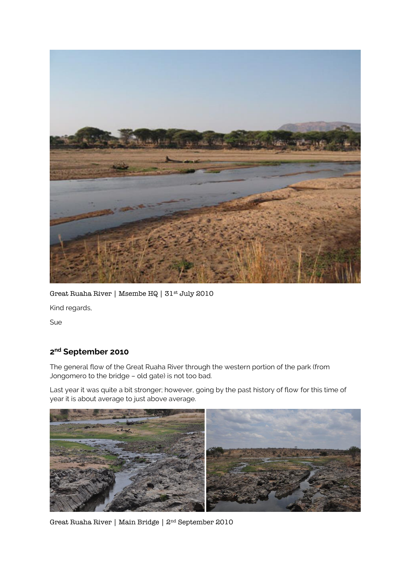

Great Ruaha River | Msembe HQ | 31st July 2010

Kind regards,

Sue

### **2 nd September 2010**

The general flow of the Great Ruaha River through the western portion of the park (from Jongomero to the bridge – old gate) is not too bad.

Last year it was quite a bit stronger; however, going by the past history of flow for this time of year it is about average to just above average.



Great Ruaha River | Main Bridge | 2nd September 2010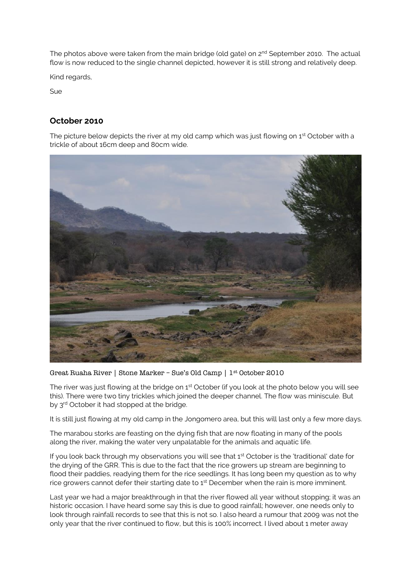The photos above were taken from the main bridge (old gate) on 2<sup>nd</sup> September 2010. The actual flow is now reduced to the single channel depicted, however it is still strong and relatively deep.

Kind regards,

Sue

# **October 2010**

The picture below depicts the river at my old camp which was just flowing on  $1<sup>st</sup>$  October with a trickle of about 16cm deep and 80cm wide.



Great Ruaha River | Stone Marker – Sue's Old Camp | 1st October 2010

The river was just flowing at the bridge on 1<sup>st</sup> October (if you look at the photo below you will see this). There were two tiny trickles which joined the deeper channel. The flow was miniscule. But by 3<sup>rd</sup> October it had stopped at the bridge.

It is still just flowing at my old camp in the Jongomero area, but this will last only a few more days.

The marabou storks are feasting on the dying fish that are now floating in many of the pools along the river, making the water very unpalatable for the animals and aquatic life.

If you look back through my observations you will see that  $1<sup>st</sup>$  October is the 'traditional' date for the drying of the GRR. This is due to the fact that the rice growers up stream are beginning to flood their paddies, readying them for the rice seedlings. It has long been my question as to why rice growers cannot defer their starting date to 1<sup>st</sup> December when the rain is more imminent.

Last year we had a major breakthrough in that the river flowed all year without stopping; it was an historic occasion. I have heard some say this is due to good rainfall; however, one needs only to look through rainfall records to see that this is not so. I also heard a rumour that 2009 was not the only year that the river continued to flow, but this is 100% incorrect. I lived about 1 meter away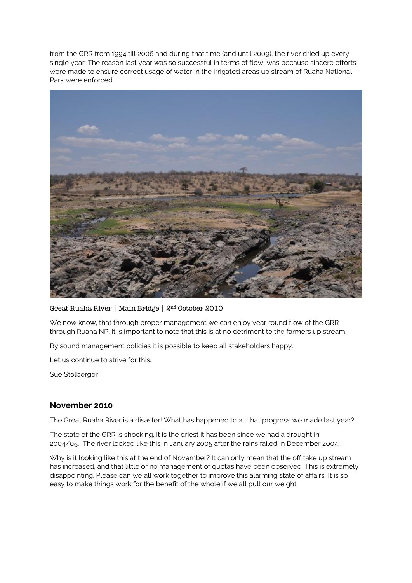from the GRR from 1994 till 2006 and during that time (and until 2009), the river dried up every single year. The reason last year was so successful in terms of flow, was because sincere efforts were made to ensure correct usage of water in the irrigated areas up stream of Ruaha National Park were enforced.



Great Ruaha River | Main Bridge | 2nd October 2010

We now know, that through proper management we can enjoy year round flow of the GRR through Ruaha NP. It is important to note that this is at no detriment to the farmers up stream.

By sound management policies it is possible to keep all stakeholders happy.

Let us continue to strive for this.

Sue Stolberger

#### **November 2010**

The Great Ruaha River is a disaster! What has happened to all that progress we made last year?

The state of the GRR is shocking. It is the driest it has been since we had a drought in 2004/05. The river looked like this in January 2005 after the rains failed in December 2004.

Why is it looking like this at the end of November? It can only mean that the off take up stream has increased, and that little or no management of quotas have been observed. This is extremely disappointing. Please can we all work together to improve this alarming state of affairs. It is so easy to make things work for the benefit of the whole if we all pull our weight.